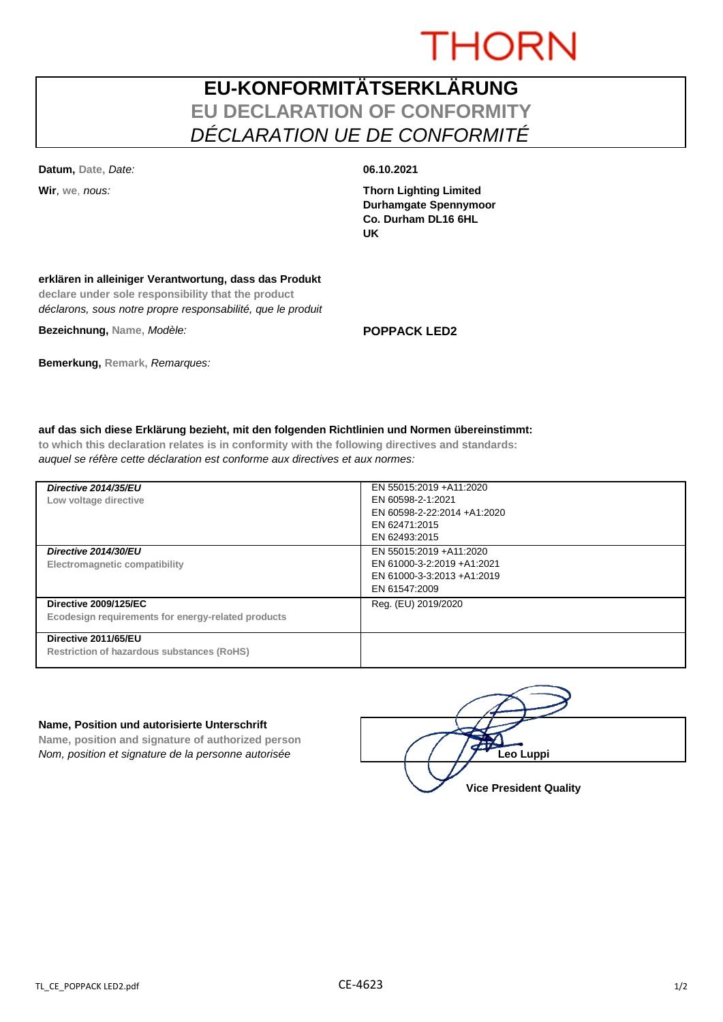# **THORN**

## **EU-KONFORMITÄTSERKLÄRUNG EU DECLARATION OF CONFORMITY** *DÉCLARATION UE DE CONFORMITÉ*

**Datum, Date,** *Date:* **06.10.2021**

**Wir**, **we**, *nous:* **Thorn Lighting Limited Durhamgate Spennymoor Co. Durham DL16 6HL UK**

### **erklären in alleiniger Verantwortung, dass das Produkt**

**declare under sole responsibility that the product** *déclarons, sous notre propre responsabilité, que le produit*

**Bezeichnung, Name,** *Modèle:* **POPPACK LED2**

**Bemerkung, Remark,** *Remarques:*

### **auf das sich diese Erklärung bezieht, mit den folgenden Richtlinien und Normen übereinstimmt:**

**to which this declaration relates is in conformity with the following directives and standards:** *auquel se réfère cette déclaration est conforme aux directives et aux normes:*

| Directive 2014/35/EU<br>Low voltage directive                                      | EN 55015:2019 +A11:2020<br>EN 60598-2-1:2021<br>EN 60598-2-22:2014 +A1:2020<br>EN 62471:2015<br>EN 62493:2015 |
|------------------------------------------------------------------------------------|---------------------------------------------------------------------------------------------------------------|
| Directive 2014/30/EU<br>Electromagnetic compatibility                              | EN 55015:2019 +A11:2020<br>EN 61000-3-2:2019 +A1:2021<br>EN 61000-3-3:2013 +A1:2019<br>EN 61547:2009          |
| <b>Directive 2009/125/EC</b><br>Ecodesign requirements for energy-related products | Reg. (EU) 2019/2020                                                                                           |
| Directive 2011/65/EU<br><b>Restriction of hazardous substances (RoHS)</b>          |                                                                                                               |

#### **Name, Position und autorisierte Unterschrift**

**Name, position and signature of authorized person** *Nom, position et signature de la personne autorisée* 

| Leo Luppi                     |  |
|-------------------------------|--|
| <b>Vice President Quality</b> |  |